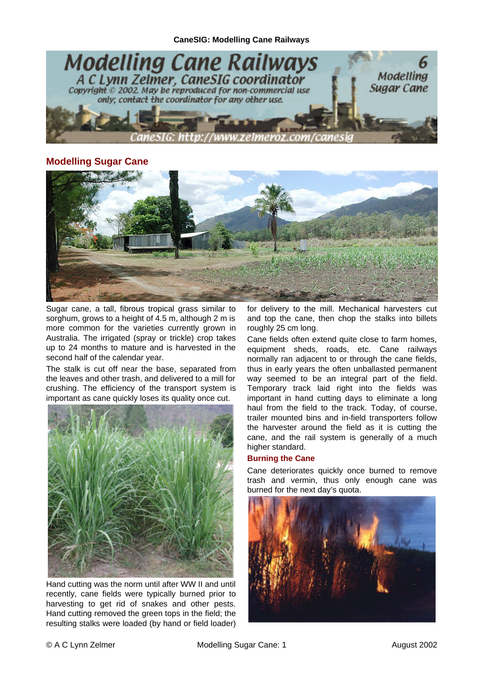

# **Modelling Sugar Cane**



Sugar cane, a tall, fibrous tropical grass similar to sorghum, grows to a height of 4.5 m, although 2 m is more common for the varieties currently grown in Australia. The irrigated (spray or trickle) crop takes up to 24 months to mature and is harvested in the second half of the calendar year.

The stalk is cut off near the base, separated from the leaves and other trash, and delivered to a mill for crushing. The efficiency of the transport system is important as cane quickly loses its quality once cut.



Hand cutting was the norm until after WW II and until recently, cane fields were typically burned prior to harvesting to get rid of snakes and other pests. Hand cutting removed the green tops in the field; the resulting stalks were loaded (by hand or field loader)

for delivery to the mill. Mechanical harvesters cut and top the cane, then chop the stalks into billets roughly 25 cm long.

Cane fields often extend quite close to farm homes, equipment sheds, roads, etc. Cane railways normally ran adjacent to or through the cane fields, thus in early years the often unballasted permanent way seemed to be an integral part of the field. Temporary track laid right into the fields was important in hand cutting days to eliminate a long haul from the field to the track. Today, of course, trailer mounted bins and in-field transporters follow the harvester around the field as it is cutting the cane, and the rail system is generally of a much higher standard.

# **Burning the Cane**

Cane deteriorates quickly once burned to remove trash and vermin, thus only enough cane was burned for the next day's quota.

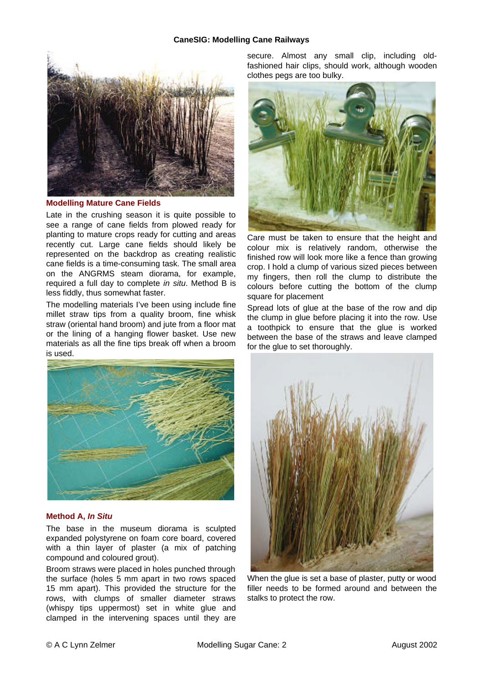## **CaneSIG: Modelling Cane Railways**



#### **Modelling Mature Cane Fields**

Late in the crushing season it is quite possible to see a range of cane fields from plowed ready for planting to mature crops ready for cutting and areas recently cut. Large cane fields should likely be represented on the backdrop as creating realistic cane fields is a time-consuming task. The small area on the ANGRMS steam diorama, for example, required a full day to complete *in situ*. Method B is less fiddly, thus somewhat faster.

The modelling materials I've been using include fine millet straw tips from a quality broom, fine whisk straw (oriental hand broom) and jute from a floor mat or the lining of a hanging flower basket. Use new materials as all the fine tips break off when a broom is used.



## **Method A,** *In Situ*

The base in the museum diorama is sculpted expanded polystyrene on foam core board, covered with a thin layer of plaster (a mix of patching compound and coloured grout).

Broom straws were placed in holes punched through the surface (holes 5 mm apart in two rows spaced 15 mm apart). This provided the structure for the rows, with clumps of smaller diameter straws (whispy tips uppermost) set in white glue and clamped in the intervening spaces until they are

secure. Almost any small clip, including oldfashioned hair clips, should work, although wooden clothes pegs are too bulky.



Care must be taken to ensure that the height and colour mix is relatively random, otherwise the finished row will look more like a fence than growing crop. I hold a clump of various sized pieces between my fingers, then roll the clump to distribute the colours before cutting the bottom of the clump square for placement

Spread lots of glue at the base of the row and dip the clump in glue before placing it into the row. Use a toothpick to ensure that the glue is worked between the base of the straws and leave clamped for the glue to set thoroughly.



When the glue is set a base of plaster, putty or wood filler needs to be formed around and between the stalks to protect the row.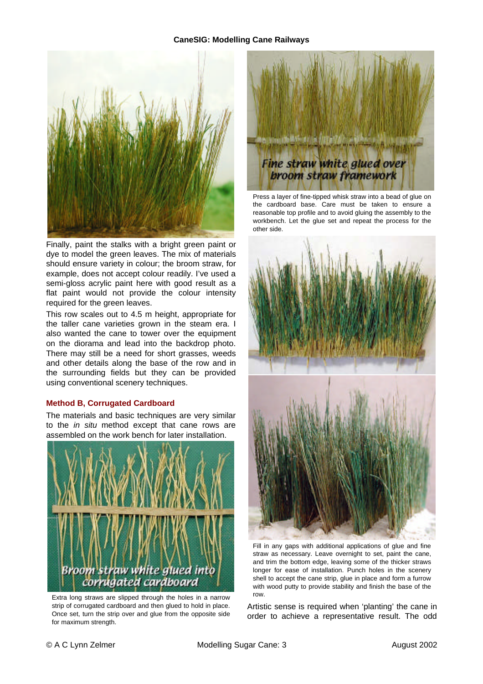## **CaneSIG: Modelling Cane Railways**



Finally, paint the stalks with a bright green paint or dye to model the green leaves. The mix of materials should ensure variety in colour; the broom straw, for example, does not accept colour readily. I've used a semi-gloss acrylic paint here with good result as a flat paint would not provide the colour intensity required for the green leaves.

This row scales out to 4.5 m height, appropriate for the taller cane varieties grown in the steam era. I also wanted the cane to tower over the equipment on the diorama and lead into the backdrop photo. There may still be a need for short grasses, weeds and other details along the base of the row and in the surrounding fields but they can be provided using conventional scenery techniques.

## **Method B, Corrugated Cardboard**

The materials and basic techniques are very similar to the *in situ* method except that cane rows are assembled on the work bench for later installation.



Extra long straws are slipped through the holes in a narrow strip of corrugated cardboard and then glued to hold in place. Once set, turn the strip over and glue from the opposite side for maximum strength.



Press a layer of fine-tipped whisk straw into a bead of glue on the cardboard base. Care must be taken to ensure a reasonable top profile and to avoid gluing the assembly to the workbench. Let the glue set and repeat the process for the other side.



Fill in any gaps with additional applications of glue and fine straw as necessary. Leave overnight to set, paint the cane, and trim the bottom edge, leaving some of the thicker straws longer for ease of installation. Punch holes in the scenery shell to accept the cane strip, glue in place and form a furrow with wood putty to provide stability and finish the base of the row.

Artistic sense is required when 'planting' the cane in order to achieve a representative result. The odd